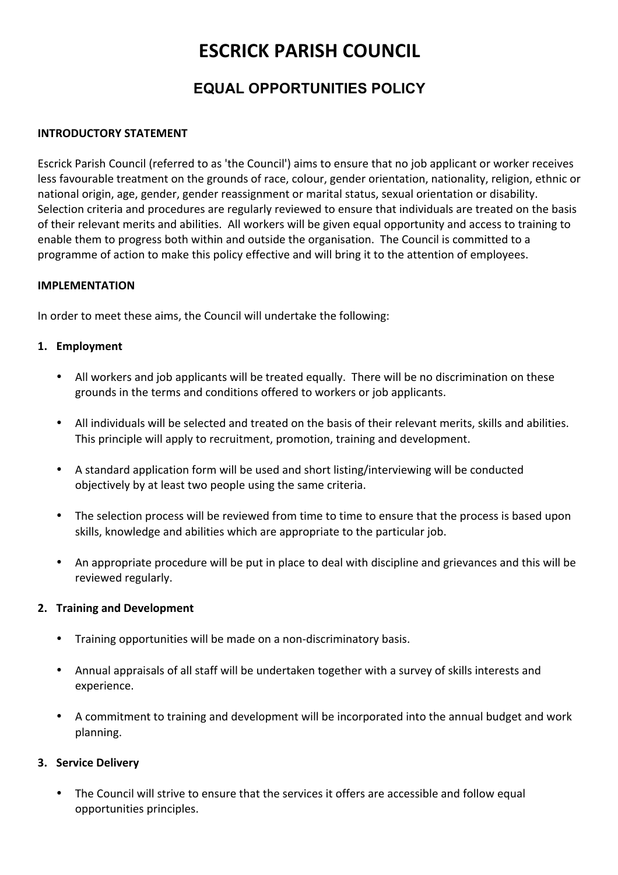# **ESCRICK PARISH COUNCIL**

# **EQUAL OPPORTUNITIES POLICY**

### **INTRODUCTORY STATEMENT**

Escrick Parish Council (referred to as 'the Council') aims to ensure that no job applicant or worker receives less favourable treatment on the grounds of race, colour, gender orientation, nationality, religion, ethnic or national origin, age, gender, gender reassignment or marital status, sexual orientation or disability. Selection criteria and procedures are regularly reviewed to ensure that individuals are treated on the basis of their relevant merits and abilities. All workers will be given equal opportunity and access to training to enable them to progress both within and outside the organisation. The Council is committed to a programme of action to make this policy effective and will bring it to the attention of employees.

#### **IMPLEMENTATION**

In order to meet these aims, the Council will undertake the following:

#### **1. Employment**

- All workers and job applicants will be treated equally. There will be no discrimination on these grounds in the terms and conditions offered to workers or job applicants.
- All individuals will be selected and treated on the basis of their relevant merits, skills and abilities. This principle will apply to recruitment, promotion, training and development.
- A standard application form will be used and short listing/interviewing will be conducted objectively by at least two people using the same criteria.
- The selection process will be reviewed from time to time to ensure that the process is based upon skills, knowledge and abilities which are appropriate to the particular job.
- An appropriate procedure will be put in place to deal with discipline and grievances and this will be reviewed regularly.

#### **2. Training and Development**

- Training opportunities will be made on a non-discriminatory basis.
- Annual appraisals of all staff will be undertaken together with a survey of skills interests and experience.
- A commitment to training and development will be incorporated into the annual budget and work planning.

# **3. Service Delivery**

• The Council will strive to ensure that the services it offers are accessible and follow equal opportunities principles.